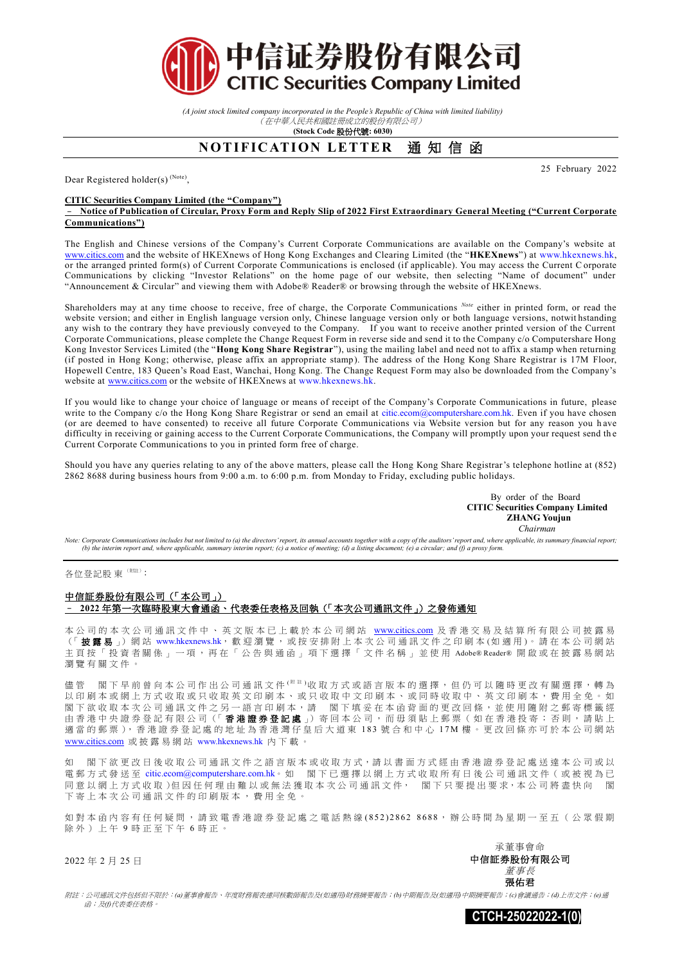

*(A joint stock limited company incorporated in the People's Republic of China with limited liability)* (在中華人民共和國註冊成立的股份有限公司)

**(Stock Code** 股份代號**: 6030)**

## **NOTIFICATION LETTER** 通知信函

Dear Registered holder(s)<sup>(Note)</sup>,

## **CITIC Securities Company Limited (the "Company")**

– **Notice of Publication of Circular, Proxy Form and Reply Slip of 2022 First Extraordinary General Meeting ("Current Corporate Communications")**

The English and Chinese versions of the Company's Current Corporate Communications are available on the Company's website at [www.citics.com](http://www.citics.com/) and the website of HKEXnews of Hong Kong Exchanges and Clearing Limited (the "**HKEXnews**") at [www.hkexnews.hk,](http://www.hkexnews.hk/)  or the arranged printed form(s) of Current Corporate Communications is enclosed (if applicable). You may access the Current C orporate Communications by clicking "Investor Relations" on the home page of our website, then selecting "Name of document" under "Announcement & Circular" and viewing them with Adobe® Reader® or browsing through the website of HKEXnews.

Shareholders may at any time choose to receive, free of charge, the Corporate Communications *Note* either in printed form, or read the website version; and either in English language version only, Chinese language version only or both language versions, notwit hstanding any wish to the contrary they have previously conveyed to the Company. If you want to receive another printed version of the Current Corporate Communications, please complete the Change Request Form in reverse side and send it to the Company c/o Computershare Hong Kong Investor Services Limited (the "**Hong Kong Share Registrar**"), using the mailing label and need not to affix a stamp when returning (if posted in Hong Kong; otherwise, please affix an appropriate stamp). The address of the Hong Kong Share Registrar is 17M Floor, Hopewell Centre, 183 Queen's Road East, Wanchai, Hong Kong. The Change Request Form may also be downloaded from the Company's website at [www.citics.com](http://www.citics.com/) or the website of HKEXnews at [www.hkexnews.hk.](http://www.hkexnews.hk/)

If you would like to change your choice of language or means of receipt of the Company's Corporate Communications in future, please write to the Company c/o the Hong Kong Share Registrar or send an email at [citic.ecom@computershare.com.hk.](mailto:citic.ecom@computershare.com.hk) Even if you have chosen (or are deemed to have consented) to receive all future Corporate Communications via Website version but for any reason you h ave difficulty in receiving or gaining access to the Current Corporate Communications, the Company will promptly upon your request send th e Current Corporate Communications to you in printed form free of charge.

Should you have any queries relating to any of the above matters, please call the Hong Kong Share Registrar's telephone hotline at (852) 2862 8688 during business hours from 9:00 a.m. to 6:00 p.m. from Monday to Friday, excluding public holidays.

> By order of the Board **CITIC Securities Company Limited ZHANG Youjun**  *Chairman*

25 February 2022

Note: Corporate Communications includes but not limited to (a) the directors' report, its annual accounts together with a copy of the auditors' report and, where applicable, its summary financial report; *(b) the interim report and, where applicable, summary interim report; (c) a notice of meeting; (d) a listing document; (e) a circular; and (f) a proxy form.*

各位登記股 東 (附註):

## 中信証券股份有限公司(「本公司」) – **2022** 年第一次臨時股東大會通函、代表委任表格及回執(「本次公司通訊文件」)之發佈通知

本 公 司 的 本 次 公 司 通 訊 文 件 中 、 英 文 版 本 已 上 載 於 本 公 司 網 站 [www.citics.com](http://www.citics.com/) 及 香 港 交 易 及 結 算 所 有 限 公 司 披 露 易 (「披露易」)網站 [www.hkexnews.hk](http://www.hkexnews.hk/), 歡 迎 瀏 覽, 或 按 安 排 附 上 本 次 公 司 通 訊 文 件 之 印 刷 本 (如 適 用)。 請 在 本 公 司 網 站 主頁按「投資者關係」一項,再在「公告與通函」項下選擇「文件名稱」並使用 Adobe® Reader® 開啟或在披露易網站 瀏覽有關文件 。

閣 下 早 前 曾 向 本 公 司 作 出 公 司 涌 訊 文 件 <sup>( 附 註</sup> )收 取 方 式 或 語 言 版 本 的 選 擇 , 但 仍 可 以 隨 時 更 改 有 關 選 擇 , 轉 為 以印刷本或網上方式收取或只收取英文印刷本、或只收取中文印刷本、或同時收取中、英文印刷本,費用全免。如 閣下欲收取本次公司通訊文件之另一語言印刷本,請 閣下填妥在本函背面的 更 改 回 條 , 並 使 用 隨 附 之 郵 寄 標 籤 經 由 香 港 中 央 證 券 登 記 有 限 公 司 (「 香港證券登記處 」) 寄 回 本公司 , 而 毋 須 貼 上 郵 票 ( 如 在 香 港 投 寄 ; 否 則 , 請 貼 上 適當的郵票),香港證券登記處的地址為香港灣仔皇后大道東 183號合和中心 17M樓。更改回條亦可於本公司網站 [www.citics.com](http://www.citics.com/) 或 披 露 易 網 站 [www.hkexnews.hk](http://www.hkexnews.hk/) 內下載。

如 閣下欲更改日後收取公司通訊文件之語言版本或收取方式,請以書面方式經由香港證券登記處送達本公司或以 電郵方式發送至 [citic.ecom@computershare.com.hk](mailto:citic.ecom@computershare.com.hk)。 如 閣下已選擇以網上方式收取所有日後公司通訊文件 ( 或被視為已 同意以網上方式收取)但因任何理由難以或無法獲取本次公司通訊文件, 閣下只要提出要求,本公司將盡快向 閣 下寄上本次公司通訊文件的印刷版本,費用全免

如對本函內容有任何疑問,請致電香港證券登記處之電話熱線(852)2862 8688,辦公時間為星期一至五(公眾假期 除外)上午9時正至下午6時正。

2022 年 2 月 25 日

承董事會命 中信証券股份有限公司 董事長 張佑君

附註:公司通訊文件包括但不限於:*(a)*董事會報告、年度財務報表連同核數師報告及*(*如適用*)*財務摘要報告;*(b)*中期報告及*(*如適用*)*中期摘要報告;*(c)*會議通告;*(d)*上市文件;*(e)*通 *函;及(f)代表委任表格*。